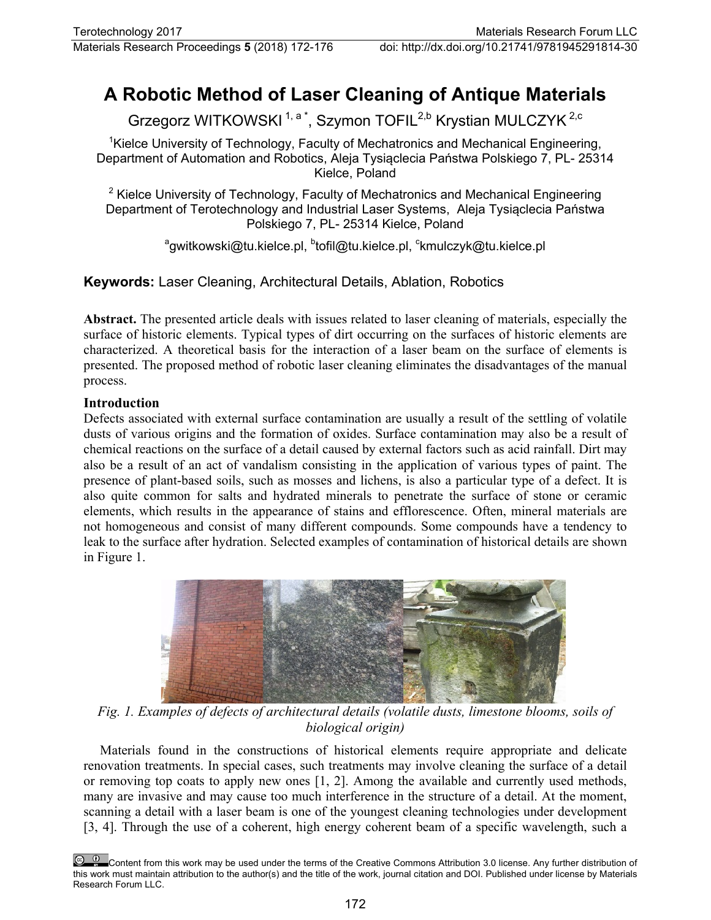# **A Robotic Method of Laser Cleaning of Antique Materials**

Grzegorz WITKOWSKI<sup>1, a\*</sup>, Szymon TOFIL<sup>2,b</sup> Krystian MULCZYK<sup>2,c</sup>

<sup>1</sup>Kielce University of Technology, Faculty of Mechatronics and Mechanical Engineering, Department of Automation and Robotics, Aleja Tysiąclecia Państwa Polskiego 7, PL- 25314 Kielce, Poland

 $2$  Kielce University of Technology, Faculty of Mechatronics and Mechanical Engineering Department of Terotechnology and Industrial Laser Systems, Aleja Tysiąclecia Państwa Polskiego 7, PL- 25314 Kielce, Poland

<sup>a</sup>gwitkowski@tu.kielce.pl, <sup>b</sup>tofil@tu.kielce.pl, <sup>c</sup>kmulczyk@tu.kielce.pl

**Keywords:** Laser Cleaning, Architectural Details, Ablation, Robotics

**Abstract.** The presented article deals with issues related to laser cleaning of materials, especially the surface of historic elements. Typical types of dirt occurring on the surfaces of historic elements are characterized. A theoretical basis for the interaction of a laser beam on the surface of elements is presented. The proposed method of robotic laser cleaning eliminates the disadvantages of the manual process.

## **Introduction**

Defects associated with external surface contamination are usually a result of the settling of volatile dusts of various origins and the formation of oxides. Surface contamination may also be a result of chemical reactions on the surface of a detail caused by external factors such as acid rainfall. Dirt may also be a result of an act of vandalism consisting in the application of various types of paint. The presence of plant-based soils, such as mosses and lichens, is also a particular type of a defect. It is also quite common for salts and hydrated minerals to penetrate the surface of stone or ceramic elements, which results in the appearance of stains and efflorescence. Often, mineral materials are not homogeneous and consist of many different compounds. Some compounds have a tendency to leak to the surface after hydration. Selected examples of contamination of historical details are shown in Figure 1.



*Fig. 1. Examples of defects of architectural details (volatile dusts, limestone blooms, soils of biological origin)*

Materials found in the constructions of historical elements require appropriate and delicate renovation treatments. In special cases, such treatments may involve cleaning the surface of a detail or removing top coats to apply new ones [1, 2]. Among the available and currently used methods, many are invasive and may cause too much interference in the structure of a detail. At the moment, scanning a detail with a laser beam is one of the youngest cleaning technologies under development [3, 4]. Through the use of a coherent, high energy coherent beam of a specific wavelength, such a

Content from this work may be used under the terms of the Creative Commons Attribution 3.0 license. Any further distribution of this work must maintain attribution to the author(s) and the title of the work, journal citation and DOI. Published under license by Materials Research Forum LLC.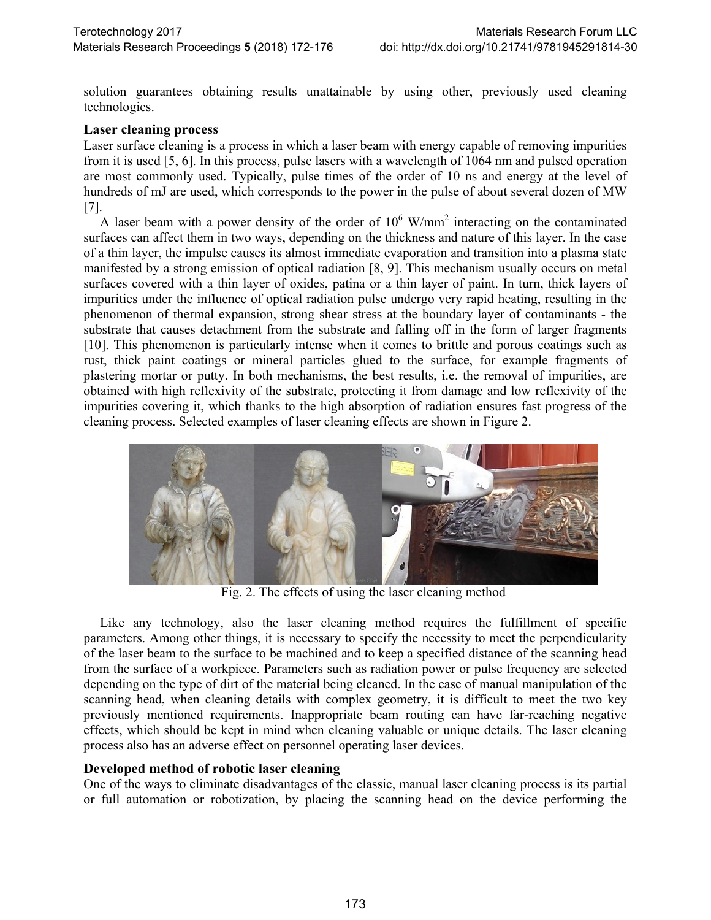solution guarantees obtaining results unattainable by using other, previously used cleaning technologies.

#### **Laser cleaning process**

Laser surface cleaning is a process in which a laser beam with energy capable of removing impurities from it is used [5, 6]. In this process, pulse lasers with a wavelength of 1064 nm and pulsed operation are most commonly used. Typically, pulse times of the order of 10 ns and energy at the level of hundreds of mJ are used, which corresponds to the power in the pulse of about several dozen of MW [7].

A laser beam with a power density of the order of  $10^6$  W/mm<sup>2</sup> interacting on the contaminated surfaces can affect them in two ways, depending on the thickness and nature of this layer. In the case of a thin layer, the impulse causes its almost immediate evaporation and transition into a plasma state manifested by a strong emission of optical radiation [8, 9]. This mechanism usually occurs on metal surfaces covered with a thin layer of oxides, patina or a thin layer of paint. In turn, thick layers of impurities under the influence of optical radiation pulse undergo very rapid heating, resulting in the phenomenon of thermal expansion, strong shear stress at the boundary layer of contaminants - the substrate that causes detachment from the substrate and falling off in the form of larger fragments [10]. This phenomenon is particularly intense when it comes to brittle and porous coatings such as rust, thick paint coatings or mineral particles glued to the surface, for example fragments of plastering mortar or putty. In both mechanisms, the best results, i.e. the removal of impurities, are obtained with high reflexivity of the substrate, protecting it from damage and low reflexivity of the impurities covering it, which thanks to the high absorption of radiation ensures fast progress of the cleaning process. Selected examples of laser cleaning effects are shown in Figure 2.



Fig. 2. The effects of using the laser cleaning method

Like any technology, also the laser cleaning method requires the fulfillment of specific parameters. Among other things, it is necessary to specify the necessity to meet the perpendicularity of the laser beam to the surface to be machined and to keep a specified distance of the scanning head from the surface of a workpiece. Parameters such as radiation power or pulse frequency are selected depending on the type of dirt of the material being cleaned. In the case of manual manipulation of the scanning head, when cleaning details with complex geometry, it is difficult to meet the two key previously mentioned requirements. Inappropriate beam routing can have far-reaching negative effects, which should be kept in mind when cleaning valuable or unique details. The laser cleaning process also has an adverse effect on personnel operating laser devices.

#### **Developed method of robotic laser cleaning**

One of the ways to eliminate disadvantages of the classic, manual laser cleaning process is its partial or full automation or robotization, by placing the scanning head on the device performing the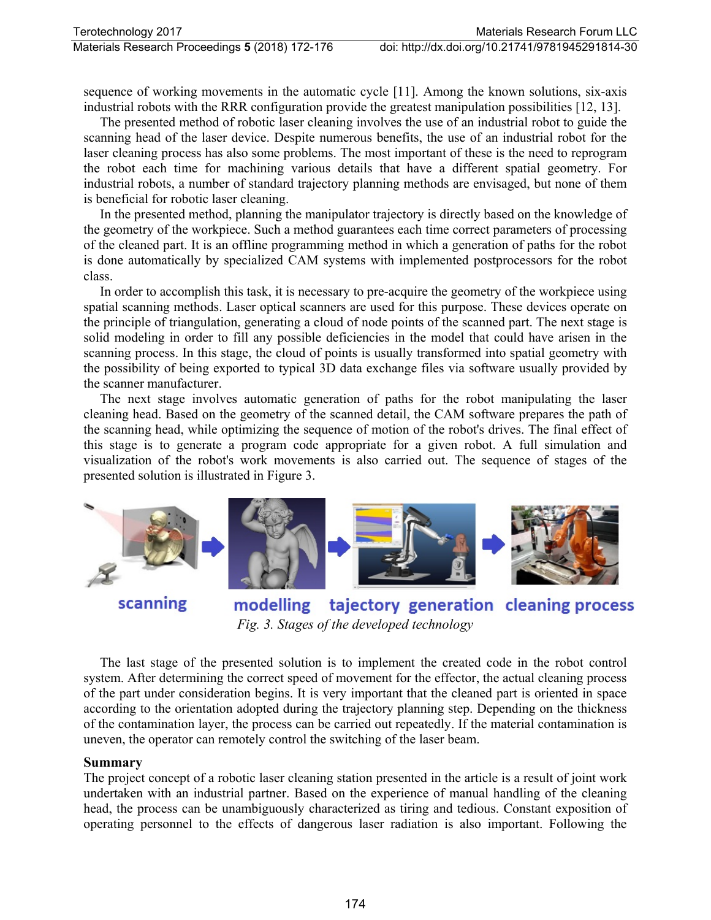sequence of working movements in the automatic cycle [11]. Among the known solutions, six-axis industrial robots with the RRR configuration provide the greatest manipulation possibilities [12, 13].

The presented method of robotic laser cleaning involves the use of an industrial robot to guide the scanning head of the laser device. Despite numerous benefits, the use of an industrial robot for the laser cleaning process has also some problems. The most important of these is the need to reprogram the robot each time for machining various details that have a different spatial geometry. For industrial robots, a number of standard trajectory planning methods are envisaged, but none of them is beneficial for robotic laser cleaning.

In the presented method, planning the manipulator trajectory is directly based on the knowledge of the geometry of the workpiece. Such a method guarantees each time correct parameters of processing of the cleaned part. It is an offline programming method in which a generation of paths for the robot is done automatically by specialized CAM systems with implemented postprocessors for the robot class.

In order to accomplish this task, it is necessary to pre-acquire the geometry of the workpiece using spatial scanning methods. Laser optical scanners are used for this purpose. These devices operate on the principle of triangulation, generating a cloud of node points of the scanned part. The next stage is solid modeling in order to fill any possible deficiencies in the model that could have arisen in the scanning process. In this stage, the cloud of points is usually transformed into spatial geometry with the possibility of being exported to typical 3D data exchange files via software usually provided by the scanner manufacturer.

The next stage involves automatic generation of paths for the robot manipulating the laser cleaning head. Based on the geometry of the scanned detail, the CAM software prepares the path of the scanning head, while optimizing the sequence of motion of the robot's drives. The final effect of this stage is to generate a program code appropriate for a given robot. A full simulation and visualization of the robot's work movements is also carried out. The sequence of stages of the presented solution is illustrated in Figure 3.



scanning

modelling tajectory generation cleaning process *Fig. 3. Stages of the developed technology*

The last stage of the presented solution is to implement the created code in the robot control system. After determining the correct speed of movement for the effector, the actual cleaning process of the part under consideration begins. It is very important that the cleaned part is oriented in space according to the orientation adopted during the trajectory planning step. Depending on the thickness of the contamination layer, the process can be carried out repeatedly. If the material contamination is uneven, the operator can remotely control the switching of the laser beam.

#### **Summary**

The project concept of a robotic laser cleaning station presented in the article is a result of joint work undertaken with an industrial partner. Based on the experience of manual handling of the cleaning head, the process can be unambiguously characterized as tiring and tedious. Constant exposition of operating personnel to the effects of dangerous laser radiation is also important. Following the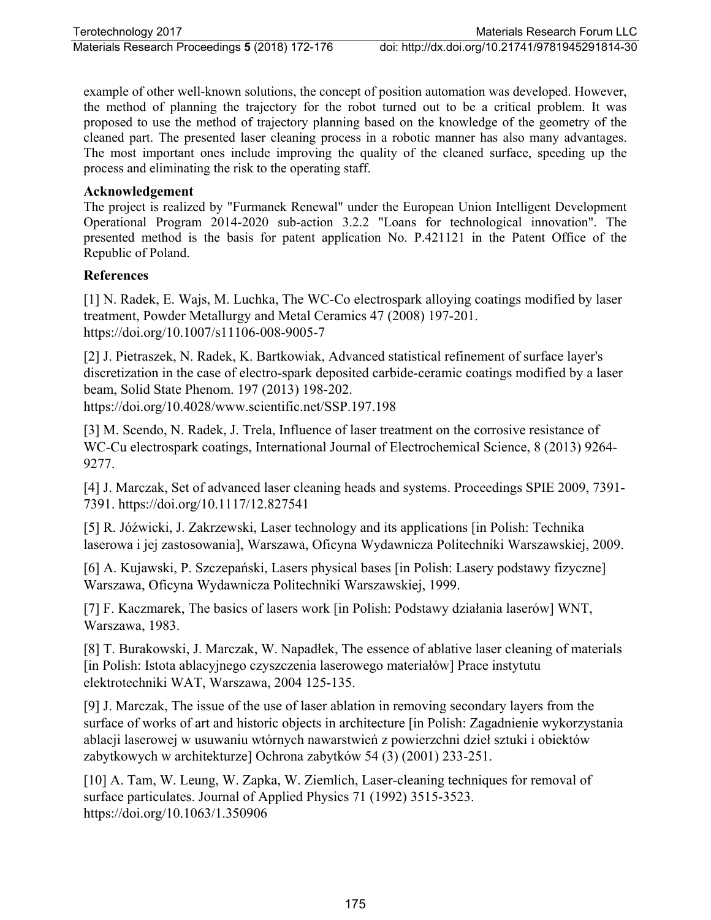example of other well-known solutions, the concept of position automation was developed. However, the method of planning the trajectory for the robot turned out to be a critical problem. It was proposed to use the method of trajectory planning based on the knowledge of the geometry of the cleaned part. The presented laser cleaning process in a robotic manner has also many advantages. The most important ones include improving the quality of the cleaned surface, speeding up the process and eliminating the risk to the operating staff.

### **Acknowledgement**

The project is realized by "Furmanek Renewal" under the European Union Intelligent Development Operational Program 2014-2020 sub-action 3.2.2 "Loans for technological innovation". The presented method is the basis for patent application No. P.421121 in the Patent Office of the Republic of Poland.

#### **References**

[1] N. Radek, E. Wajs, M. Luchka, The WC-Co electrospark alloying coatings modified by laser treatment, Powder Metallurgy and Metal Ceramics 47 (2008) 197-201. https://doi.org/10.1007/s11106-008-9005-7

[2] J. Pietraszek, N. Radek, K. Bartkowiak, Advanced statistical refinement of surface layer's discretization in the case of electro-spark deposited carbide-ceramic coatings modified by a laser beam, Solid State Phenom. 197 (2013) 198-202. https://doi.org/10.4028/www.scientific.net/SSP.197.198

[3] M. Scendo, N. Radek, J. Trela, Influence of laser treatment on the corrosive resistance of WC-Cu electrospark coatings, International Journal of Electrochemical Science, 8 (2013) 9264- 9277.

[4] J. Marczak, Set of advanced laser cleaning heads and systems. Proceedings SPIE 2009, 7391- 7391. https://doi.org/10.1117/12.827541

[5] R. Jóźwicki, J. Zakrzewski, Laser technology and its applications [in Polish: Technika laserowa i jej zastosowania], Warszawa, Oficyna Wydawnicza Politechniki Warszawskiej, 2009.

[6] A. Kujawski, P. Szczepański, Lasers physical bases [in Polish: Lasery podstawy fizyczne] Warszawa, Oficyna Wydawnicza Politechniki Warszawskiej, 1999.

[7] F. Kaczmarek, The basics of lasers work [in Polish: Podstawy działania laserów] WNT, Warszawa, 1983.

[8] T. Burakowski, J. Marczak, W. Napadłek, The essence of ablative laser cleaning of materials [in Polish: Istota ablacyjnego czyszczenia laserowego materiałów] Prace instytutu elektrotechniki WAT, Warszawa, 2004 125-135.

[9] J. Marczak, The issue of the use of laser ablation in removing secondary layers from the surface of works of art and historic objects in architecture [in Polish: Zagadnienie wykorzystania ablacji laserowej w usuwaniu wtórnych nawarstwień z powierzchni dzieł sztuki i obiektów zabytkowych w architekturze] Ochrona zabytków 54 (3) (2001) 233-251.

[10] A. Tam, W. Leung, W. Zapka, W. Ziemlich, Laser-cleaning techniques for removal of surface particulates. Journal of Applied Physics 71 (1992) 3515-3523. https://doi.org/10.1063/1.350906